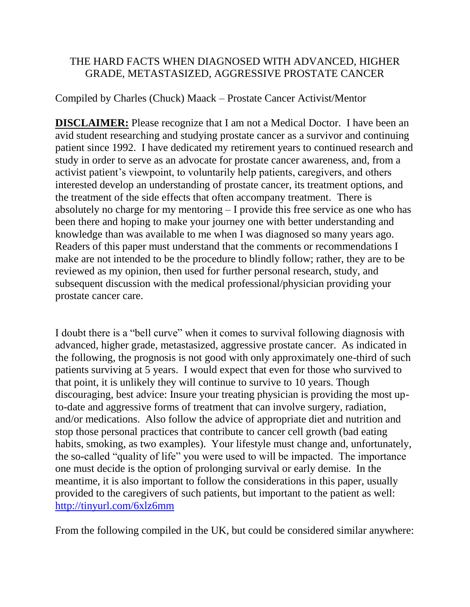# THE HARD FACTS WHEN DIAGNOSED WITH ADVANCED, HIGHER GRADE, METASTASIZED, AGGRESSIVE PROSTATE CANCER

# Compiled by Charles (Chuck) Maack – Prostate Cancer Activist/Mentor

**DISCLAIMER:** Please recognize that I am not a Medical Doctor. I have been an avid student researching and studying prostate cancer as a survivor and continuing patient since 1992. I have dedicated my retirement years to continued research and study in order to serve as an advocate for prostate cancer awareness, and, from a activist patient's viewpoint, to voluntarily help patients, caregivers, and others interested develop an understanding of prostate cancer, its treatment options, and the treatment of the side effects that often accompany treatment. There is absolutely no charge for my mentoring – I provide this free service as one who has been there and hoping to make your journey one with better understanding and knowledge than was available to me when I was diagnosed so many years ago. Readers of this paper must understand that the comments or recommendations I make are not intended to be the procedure to blindly follow; rather, they are to be reviewed as my opinion, then used for further personal research, study, and subsequent discussion with the medical professional/physician providing your prostate cancer care.

I doubt there is a "bell curve" when it comes to survival following diagnosis with advanced, higher grade, metastasized, aggressive prostate cancer. As indicated in the following, the prognosis is not good with only approximately one-third of such patients surviving at 5 years. I would expect that even for those who survived to that point, it is unlikely they will continue to survive to 10 years. Though discouraging, best advice: Insure your treating physician is providing the most upto-date and aggressive forms of treatment that can involve surgery, radiation, and/or medications. Also follow the advice of appropriate diet and nutrition and stop those personal practices that contribute to cancer cell growth (bad eating habits, smoking, as two examples). Your lifestyle must change and, unfortunately, the so-called "quality of life" you were used to will be impacted. The importance one must decide is the option of prolonging survival or early demise. In the meantime, it is also important to follow the considerations in this paper, usually provided to the caregivers of such patients, but important to the patient as well: <http://tinyurl.com/6xlz6mm>

From the following compiled in the UK, but could be considered similar anywhere: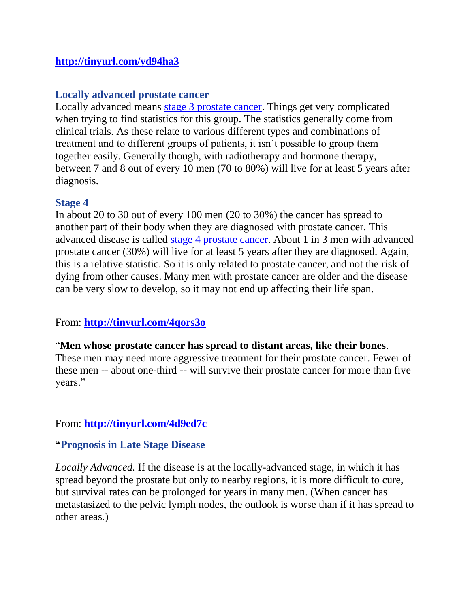## **<http://tinyurl.com/yd94ha3>**

### **Locally advanced prostate cancer**

Locally advanced means [stage 3 prostate cancer.](http://www.cancerhelp.org.uk/type/prostate-cancer/treatment/the-stages-of-prostate-cancer#number) Things get very complicated when trying to find statistics for this group. The statistics generally come from clinical trials. As these relate to various different types and combinations of treatment and to different groups of patients, it isn't possible to group them together easily. Generally though, with radiotherapy and hormone therapy, between 7 and 8 out of every 10 men (70 to 80%) will live for at least 5 years after diagnosis.

#### **Stage 4**

In about 20 to 30 out of every 100 men (20 to 30%) the cancer has spread to another part of their body when they are diagnosed with prostate cancer. This advanced disease is called [stage 4 prostate cancer.](http://www.cancerhelp.org.uk/type/prostate-cancer/treatment/the-stages-of-prostate-cancer#number) About 1 in 3 men with advanced prostate cancer (30%) will live for at least 5 years after they are diagnosed. Again, this is a relative statistic. So it is only related to prostate cancer, and not the risk of dying from other causes. Many men with prostate cancer are older and the disease can be very slow to develop, so it may not end up affecting their life span.

## From: **<http://tinyurl.com/4qors3o>**

#### "**Men whose prostate cancer has spread to distant areas, like their bones**.

These men may need more aggressive treatment for their prostate cancer. Fewer of these men -- about one-third -- will survive their prostate cancer for more than five years."

## From: **<http://tinyurl.com/4d9ed7c>**

## **"Prognosis in Late Stage Disease**

*Locally Advanced.* If the disease is at the locally-advanced stage, in which it has spread beyond the prostate but only to nearby regions, it is more difficult to cure, but survival rates can be prolonged for years in many men. (When cancer has metastasized to the pelvic lymph nodes, the outlook is worse than if it has spread to other areas.)